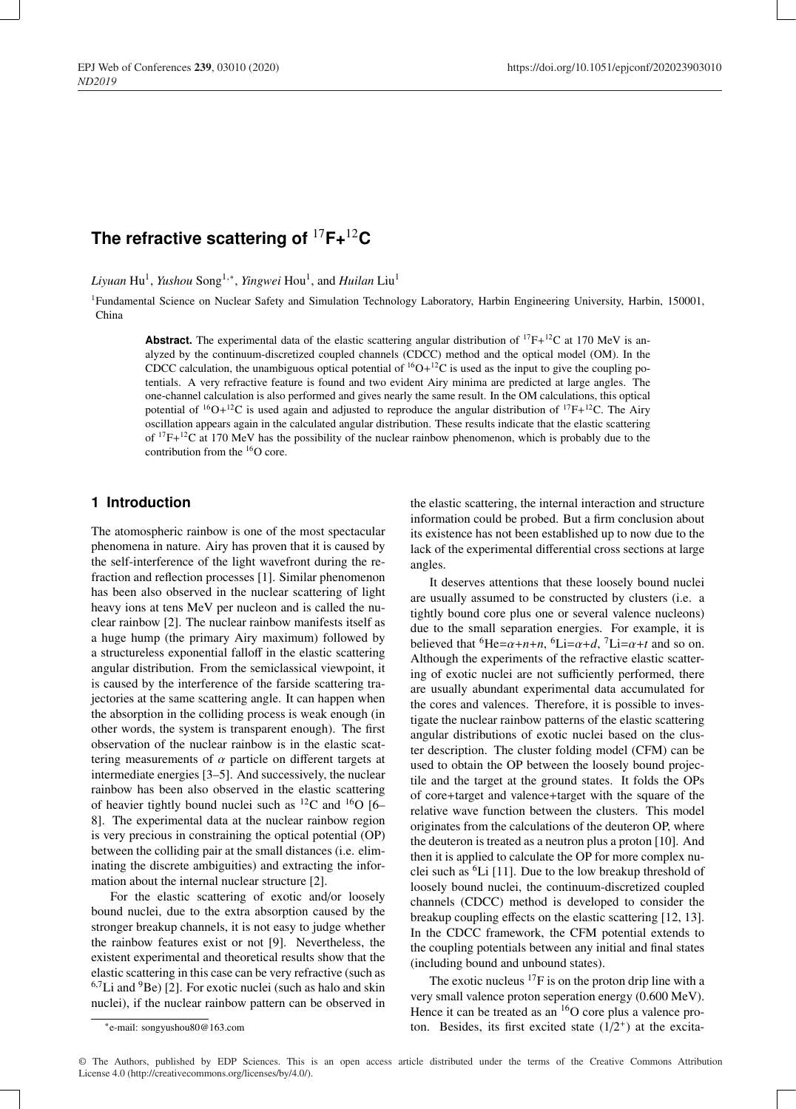# **The refractive scattering of** <sup>17</sup>**F+**12**C**

*Liyuan* Hu<sup>1</sup>, *Yushou* Song<sup>1,∗</sup>, *Yingwei* Hou<sup>1</sup>, and *Huilan* Liu<sup>1</sup>

1Fundamental Science on Nuclear Safety and Simulation Technology Laboratory, Harbin Engineering University, Harbin, 150001, China

**Abstract.** The experimental data of the elastic scattering angular distribution of  ${}^{17}F+{}^{12}C$  at 170 MeV is analyzed by the continuum-discretized coupled channels (CDCC) method and the optical model (OM). In the CDCC calculation, the unambiguous optical potential of  ${}^{16}O+{}^{12}C$  is used as the input to give the coupling potentials. A very refractive feature is found and two evident Airy minima are predicted at large angles. The one-channel calculation is also performed and gives nearly the same result. In the OM calculations, this optical potential of  ${}^{16}O+{}^{12}C$  is used again and adjusted to reproduce the angular distribution of  ${}^{17}F+{}^{12}C$ . The Airy oscillation appears again in the calculated angular distribution. These results indicate that the elastic scattering of  $17F+12C$  at 170 MeV has the possibility of the nuclear rainbow phenomenon, which is probably due to the contribution from the <sup>16</sup>O core.

## **1 Introduction**

The atomospheric rainbow is one of the most spectacular phenomena in nature. Airy has proven that it is caused by the self-interference of the light wavefront during the refraction and reflection processes [1]. Similar phenomenon has been also observed in the nuclear scattering of light heavy ions at tens MeV per nucleon and is called the nuclear rainbow [2]. The nuclear rainbow manifests itself as a huge hump (the primary Airy maximum) followed by a structureless exponential falloff in the elastic scattering angular distribution. From the semiclassical viewpoint, it is caused by the interference of the farside scattering trajectories at the same scattering angle. It can happen when the absorption in the colliding process is weak enough (in other words, the system is transparent enough). The first observation of the nuclear rainbow is in the elastic scattering measurements of  $\alpha$  particle on different targets at intermediate energies [3–5]. And successively, the nuclear rainbow has been also observed in the elastic scattering of heavier tightly bound nuclei such as  ${}^{12}C$  and  ${}^{16}O$  [6– 8]. The experimental data at the nuclear rainbow region is very precious in constraining the optical potential (OP) between the colliding pair at the small distances (i.e. eliminating the discrete ambiguities) and extracting the information about the internal nuclear structure [2].

For the elastic scattering of exotic and/or loosely bound nuclei, due to the extra absorption caused by the stronger breakup channels, it is not easy to judge whether the rainbow features exist or not [9]. Nevertheless, the existent experimental and theoretical results show that the elastic scattering in this case can be very refractive (such as  $6.7$ Li and  $9$ Be) [2]. For exotic nuclei (such as halo and skin nuclei), if the nuclear rainbow pattern can be observed in

It deserves attentions that these loosely bound nuclei are usually assumed to be constructed by clusters (i.e. a tightly bound core plus one or several valence nucleons) due to the small separation energies. For example, it is believed that <sup>6</sup>He= $\alpha+n+n$ , <sup>6</sup>Li= $\alpha+d$ , <sup>7</sup>Li= $\alpha+t$  and so on. Although the experiments of the refractive elastic scattering of exotic nuclei are not sufficiently performed, there are usually abundant experimental data accumulated for the cores and valences. Therefore, it is possible to investigate the nuclear rainbow patterns of the elastic scattering angular distributions of exotic nuclei based on the cluster description. The cluster folding model (CFM) can be used to obtain the OP between the loosely bound projectile and the target at the ground states. It folds the OPs of core+target and valence+target with the square of the relative wave function between the clusters. This model originates from the calculations of the deuteron OP, where the deuteron is treated as a neutron plus a proton [10]. And then it is applied to calculate the OP for more complex nuclei such as  ${}^{6}Li$  [11]. Due to the low breakup threshold of loosely bound nuclei, the continuum-discretized coupled channels (CDCC) method is developed to consider the breakup coupling effects on the elastic scattering [12, 13]. In the CDCC framework, the CFM potential extends to the coupling potentials between any initial and final states (including bound and unbound states).

The exotic nucleus  ${}^{17}F$  is on the proton drip line with a very small valence proton seperation energy (0.600 MeV). Hence it can be treated as an  $^{16}$ O core plus a valence proton. Besides, its first excited state  $(1/2^+)$  at the excita-

© The Authors, published by EDP Sciences. This is an open access article distributed under the terms of the Creative Commons Attribution License 4.0 (http://creativecommons.org/licenses/by/4.0/).

the elastic scattering, the internal interaction and structure information could be probed. But a firm conclusion about its existence has not been established up to now due to the lack of the experimental differential cross sections at large angles.

<sup>∗</sup>e-mail: songyushou80@163.com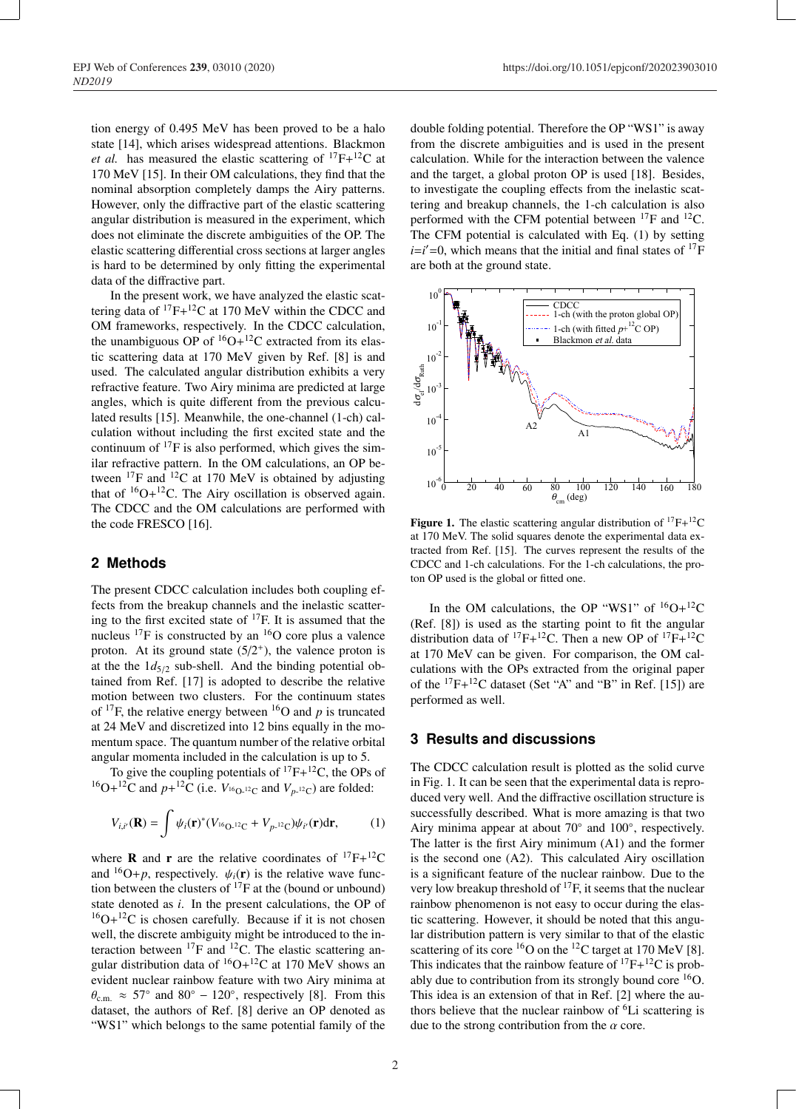tion energy of 0.495 MeV has been proved to be a halo state [14], which arises widespread attentions. Blackmon *et al.* has measured the elastic scattering of  ${}^{17}F+{}^{12}C$  at 170 MeV [15]. In their OM calculations, they find that the nominal absorption completely damps the Airy patterns. However, only the diffractive part of the elastic scattering angular distribution is measured in the experiment, which does not eliminate the discrete ambiguities of the OP. The elastic scattering differential cross sections at larger angles is hard to be determined by only fitting the experimental data of the diffractive part.

In the present work, we have analyzed the elastic scattering data of  ${}^{17}F+{}^{12}C$  at 170 MeV within the CDCC and OM frameworks, respectively. In the CDCC calculation, the unambiguous OP of  ${}^{16}O+{}^{12}C$  extracted from its elastic scattering data at 170 MeV given by Ref. [8] is and used. The calculated angular distribution exhibits a very refractive feature. Two Airy minima are predicted at large angles, which is quite different from the previous calculated results [15]. Meanwhile, the one-channel (1-ch) calculation without including the first excited state and the continuum of  $^{17}F$  is also performed, which gives the similar refractive pattern. In the OM calculations, an OP between  $^{17}$ F and  $^{12}$ C at 170 MeV is obtained by adjusting that of  ${}^{16}O+{}^{12}C$ . The Airy oscillation is observed again. The CDCC and the OM calculations are performed with the code FRESCO [16].

#### **2 Methods**

The present CDCC calculation includes both coupling effects from the breakup channels and the inelastic scattering to the first excited state of 17F. It is assumed that the nucleus  $^{17}$ F is constructed by an  $^{16}$ O core plus a valence proton. At its ground state  $(5/2^+)$ , the valence proton is at the the  $1d_{5/2}$  sub-shell. And the binding potential obtained from Ref. [17] is adopted to describe the relative motion between two clusters. For the continuum states of  $^{17}F$ , the relative energy between  $^{16}O$  and *p* is truncated at 24 MeV and discretized into 12 bins equally in the momentum space. The quantum number of the relative orbital angular momenta included in the calculation is up to 5.

To give the coupling potentials of  ${}^{17}F+{}^{12}C$ , the OPs of <sup>16</sup>O+<sup>12</sup>C and  $p+$ <sup>12</sup>C (i.e.  $V_{16Q_112}$  and  $V_{p-12}$ ) are folded:

$$
V_{i,i'}(\mathbf{R}) = \int \psi_i(\mathbf{r})^*(V_{16Q^{-12}C} + V_{p^{-12}C})\psi_{i'}(\mathbf{r})d\mathbf{r},\tag{1}
$$

where **R** and **r** are the relative coordinates of  $^{17}F+^{12}C$ and <sup>16</sup>O+*p*, respectively.  $\psi_i(\mathbf{r})$  is the relative wave function between the clusters of  $^{17}$ F at the (bound or unbound) state denoted as *i*. In the present calculations, the OP of  $^{16}O+^{12}C$  is chosen carefully. Because if it is not chosen well, the discrete ambiguity might be introduced to the interaction between  ${}^{17}F$  and  ${}^{12}C$ . The elastic scattering angular distribution data of  ${}^{16}O+{}^{12}C$  at 170 MeV shows an evident nuclear rainbow feature with two Airy minima at  $\theta_{\rm c.m.} \approx 57^{\circ}$  and  $80^{\circ} - 120^{\circ}$ , respectively [8]. From this dataset, the authors of Ref. [8] derive an OP denoted as "WS1" which belongs to the same potential family of the

double folding potential. Therefore the OP "WS1" is away from the discrete ambiguities and is used in the present calculation. While for the interaction between the valence and the target, a global proton OP is used [18]. Besides, to investigate the coupling effects from the inelastic scattering and breakup channels, the 1-ch calculation is also performed with the CFM potential between  $^{17}F$  and  $^{12}C$ . The CFM potential is calculated with Eq. (1) by setting  $i=i'=0$ , which means that the initial and final states of  $17F$ are both at the ground state.



Figure 1. The elastic scattering angular distribution of  ${}^{17}F+{}^{12}C$ at 170 MeV. The solid squares denote the experimental data extracted from Ref. [15]. The curves represent the results of the CDCC and 1-ch calculations. For the 1-ch calculations, the proton OP used is the global or fitted one.

In the OM calculations, the OP "WS1" of  ${}^{16}O+{}^{12}C$ (Ref. [8]) is used as the starting point to fit the angular distribution data of <sup>17</sup>F+<sup>12</sup>C. Then a new OP of <sup>17</sup>F+<sup>12</sup>C at 170 MeV can be given. For comparison, the OM calculations with the OPs extracted from the original paper of the  ${}^{17}F+{}^{12}C$  dataset (Set "A" and "B" in Ref. [15]) are performed as well.

#### **3 Results and discussions**

The CDCC calculation result is plotted as the solid curve in Fig. 1. It can be seen that the experimental data is reproduced very well. And the diffractive oscillation structure is successfully described. What is more amazing is that two Airy minima appear at about 70◦ and 100◦, respectively. The latter is the first Airy minimum (A1) and the former is the second one (A2). This calculated Airy oscillation is a significant feature of the nuclear rainbow. Due to the very low breakup threshold of  ${}^{17}F$ , it seems that the nuclear rainbow phenomenon is not easy to occur during the elastic scattering. However, it should be noted that this angular distribution pattern is very similar to that of the elastic scattering of its core  ${}^{16}O$  on the  ${}^{12}C$  target at 170 MeV [8]. This indicates that the rainbow feature of  ${}^{17}F+{}^{12}C$  is probably due to contribution from its strongly bound core 16O. This idea is an extension of that in Ref. [2] where the authors believe that the nuclear rainbow of 6Li scattering is due to the strong contribution from the  $\alpha$  core.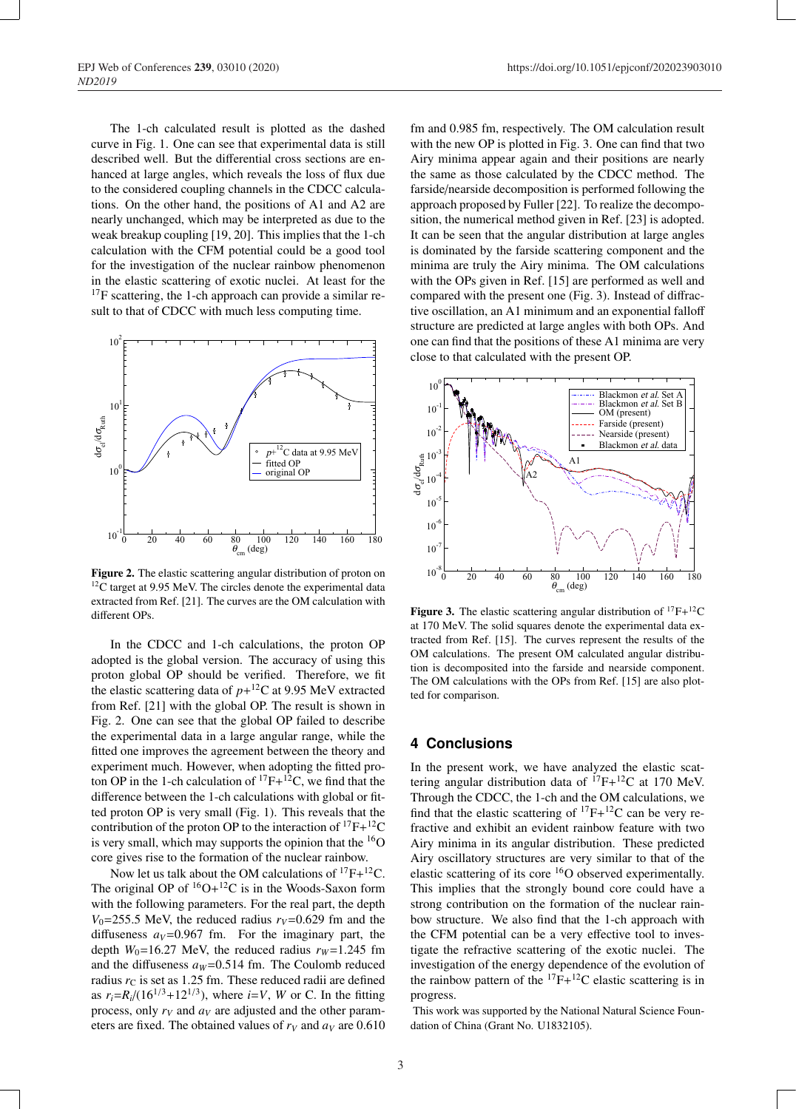The 1-ch calculated result is plotted as the dashed curve in Fig. 1. One can see that experimental data is still described well. But the differential cross sections are enhanced at large angles, which reveals the loss of flux due to the considered coupling channels in the CDCC calculations. On the other hand, the positions of A1 and A2 are nearly unchanged, which may be interpreted as due to the weak breakup coupling [19, 20]. This implies that the 1-ch calculation with the CFM potential could be a good tool for the investigation of the nuclear rainbow phenomenon in the elastic scattering of exotic nuclei. At least for the <sup>17</sup>F scattering, the 1-ch approach can provide a similar result to that of CDCC with much less computing time.



Figure 2. The elastic scattering angular distribution of proton on  $12$ C target at 9.95 MeV. The circles denote the experimental data extracted from Ref. [21]. The curves are the OM calculation with different OPs.

In the CDCC and 1-ch calculations, the proton OP adopted is the global version. The accuracy of using this proton global OP should be verified. Therefore, we fit the elastic scattering data of  $p+$ <sup>12</sup>C at 9.95 MeV extracted from Ref. [21] with the global OP. The result is shown in Fig. 2. One can see that the global OP failed to describe the experimental data in a large angular range, while the fitted one improves the agreement between the theory and experiment much. However, when adopting the fitted proton OP in the 1-ch calculation of  ${}^{17}F+{}^{12}C$ , we find that the difference between the 1-ch calculations with global or fitted proton OP is very small (Fig. 1). This reveals that the contribution of the proton OP to the interaction of  ${}^{17}F+{}^{12}C$ is very small, which may supports the opinion that the  $^{16}$ O core gives rise to the formation of the nuclear rainbow.

Now let us talk about the OM calculations of  ${}^{17}F+{}^{12}C$ . The original OP of  ${}^{16}O+{}^{12}C$  is in the Woods-Saxon form with the following parameters. For the real part, the depth  $V_0$ =255.5 MeV, the reduced radius  $r_V$ =0.629 fm and the diffuseness  $a_V = 0.967$  fm. For the imaginary part, the depth  $W_0$ =16.27 MeV, the reduced radius  $r_W$ =1.245 fm and the diffuseness  $a_W$ =0.514 fm. The Coulomb reduced radius  $r<sub>C</sub>$  is set as 1.25 fm. These reduced radii are defined as  $r_i = R_i/(16^{1/3} + 12^{1/3})$ , where  $i = V$ , *W* or *C*. In the fitting process, only  $r_V$  and  $a_V$  are adjusted and the other parameters are fixed. The obtained values of  $r_V$  and  $a_V$  are 0.610 fm and 0.985 fm, respectively. The OM calculation result with the new OP is plotted in Fig. 3. One can find that two Airy minima appear again and their positions are nearly the same as those calculated by the CDCC method. The farside/nearside decomposition is performed following the approach proposed by Fuller [22]. To realize the decomposition, the numerical method given in Ref. [23] is adopted. It can be seen that the angular distribution at large angles is dominated by the farside scattering component and the minima are truly the Airy minima. The OM calculations with the OPs given in Ref. [15] are performed as well and compared with the present one (Fig. 3). Instead of diffractive oscillation, an A1 minimum and an exponential falloff structure are predicted at large angles with both OPs. And one can find that the positions of these A1 minima are very close to that calculated with the present OP.



Figure 3. The elastic scattering angular distribution of  ${}^{17}F+{}^{12}C$ at 170 MeV. The solid squares denote the experimental data extracted from Ref. [15]. The curves represent the results of the OM calculations. The present OM calculated angular distribution is decomposited into the farside and nearside component. The OM calculations with the OPs from Ref. [15] are also plotted for comparison.

#### **4 Conclusions**

In the present work, we have analyzed the elastic scattering angular distribution data of  ${}^{17}F+{}^{12}C$  at 170 MeV. Through the CDCC, the 1-ch and the OM calculations, we find that the elastic scattering of  ${}^{17}F+{}^{12}C$  can be very refractive and exhibit an evident rainbow feature with two Airy minima in its angular distribution. These predicted Airy oscillatory structures are very similar to that of the elastic scattering of its core <sup>16</sup>O observed experimentally. This implies that the strongly bound core could have a strong contribution on the formation of the nuclear rainbow structure. We also find that the 1-ch approach with the CFM potential can be a very effective tool to investigate the refractive scattering of the exotic nuclei. The investigation of the energy dependence of the evolution of the rainbow pattern of the  $^{17}F+^{12}C$  elastic scattering is in progress.

This work was supported by the National Natural Science Foundation of China (Grant No. U1832105).